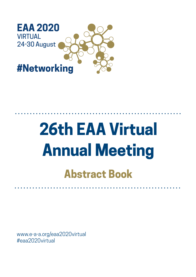

# **26th EAA Virtual Annual Meeting Abstract Book**

www.e-a-a.org/eaa2020virtual #eaa2020virtual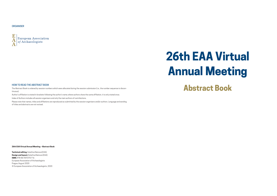#### **26th EAA Virtual Annual Meeting – Abstract Book**

**Technical editing**: Kateřina Kleinová (EAA) **Design and layout:** Kateřina Kleinová (EAA) **ISBN:** 978-80-907270-7-6 European Association of Archaeologists Prague, August 2020 © European Association of Archaeologists, 2020

## ORGANISER



### HOW TO READ THE ABSTRACT BOOK

The Abstract Book is ordered by session numbers which were allocated during the session submission (i.e., the number sequence is discontinuous).

Author's affiliation is stated in brackets following the author's name; where authors share the same affiliation, it is only stated once.

Index of Authors includes all session organisers and only the main authors of contributions.

Please note that names, titles and affiliations are reproduced as submitted by the session organisers and/or authors. Language and wording of titles and abstracts are not revised.

# **26th EAA Virtual Annual Meeting Abstract Book**